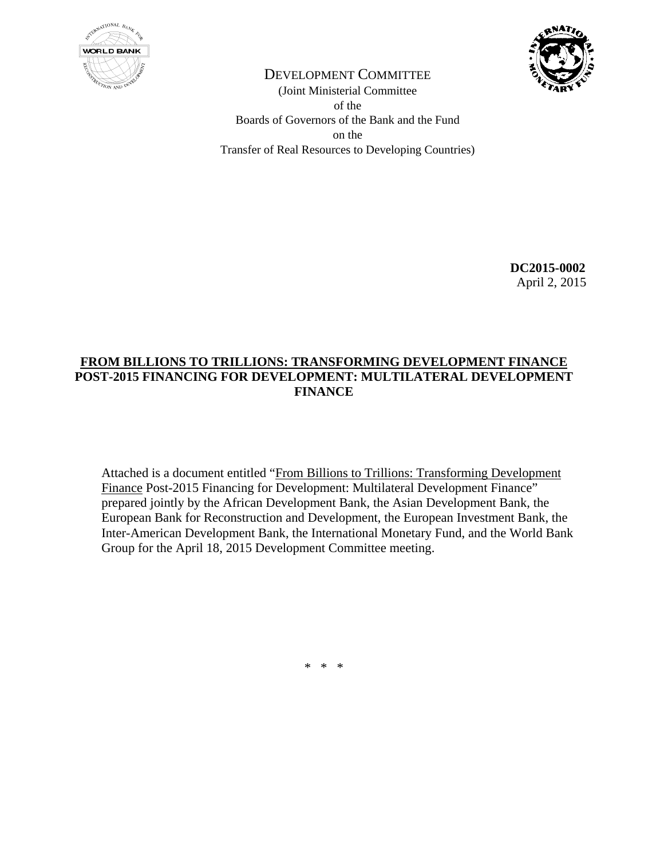



DEVELOPMENT COMMITTEE (Joint Ministerial Committee of the Boards of Governors of the Bank and the Fund on the Transfer of Real Resources to Developing Countries)

> **DC2015-0002**  April 2, 2015

## **FROM BILLIONS TO TRILLIONS: TRANSFORMING DEVELOPMENT FINANCE POST-2015 FINANCING FOR DEVELOPMENT: MULTILATERAL DEVELOPMENT FINANCE**

Attached is a document entitled "From Billions to Trillions: Transforming Development Finance Post-2015 Financing for Development: Multilateral Development Finance" prepared jointly by the African Development Bank, the Asian Development Bank, the European Bank for Reconstruction and Development, the European Investment Bank, the Inter-American Development Bank, the International Monetary Fund, and the World Bank Group for the April 18, 2015 Development Committee meeting.

 $*$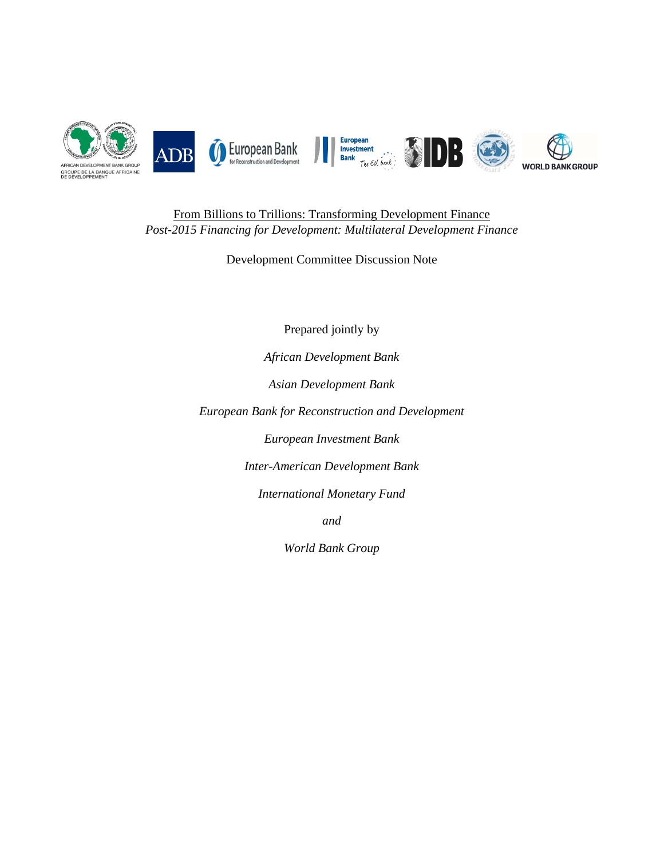

From Billions to Trillions: Transforming Development Finance *Post-2015 Financing for Development: Multilateral Development Finance* 

Development Committee Discussion Note

Prepared jointly by

*African Development Bank* 

*Asian Development Bank* 

*European Bank for Reconstruction and Development* 

*European Investment Bank* 

*Inter-American Development Bank* 

*International Monetary Fund* 

*and* 

*World Bank Group*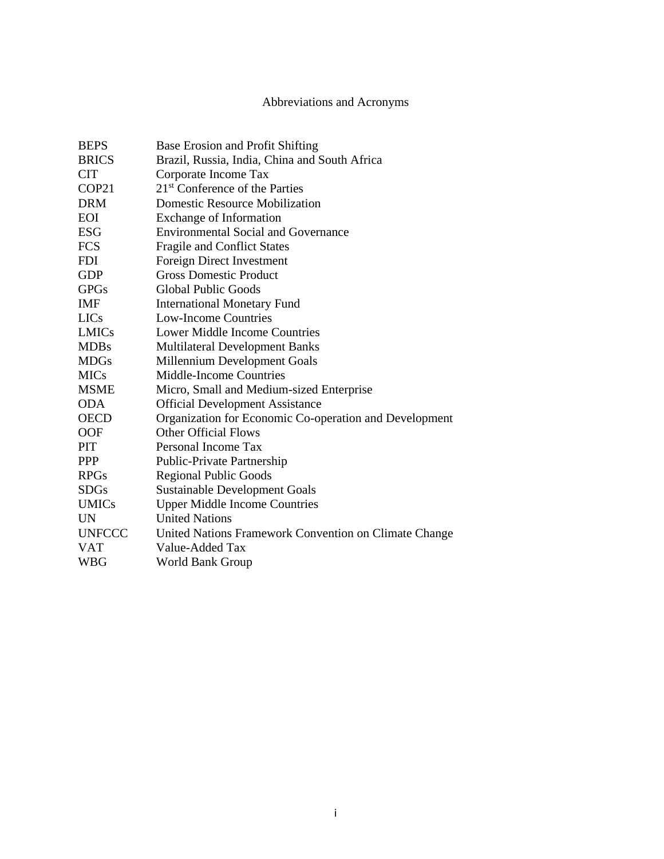## Abbreviations and Acronyms

| <b>BEPS</b>   | Base Erosion and Profit Shifting                       |
|---------------|--------------------------------------------------------|
| <b>BRICS</b>  | Brazil, Russia, India, China and South Africa          |
| <b>CIT</b>    | Corporate Income Tax                                   |
| COP21         | 21 <sup>st</sup> Conference of the Parties             |
| <b>DRM</b>    | <b>Domestic Resource Mobilization</b>                  |
| <b>EOI</b>    | <b>Exchange of Information</b>                         |
| <b>ESG</b>    | <b>Environmental Social and Governance</b>             |
| <b>FCS</b>    | <b>Fragile and Conflict States</b>                     |
| <b>FDI</b>    | <b>Foreign Direct Investment</b>                       |
| <b>GDP</b>    | <b>Gross Domestic Product</b>                          |
| <b>GPGs</b>   | <b>Global Public Goods</b>                             |
| <b>IMF</b>    | <b>International Monetary Fund</b>                     |
| <b>LICs</b>   | <b>Low-Income Countries</b>                            |
| <b>LMICs</b>  | <b>Lower Middle Income Countries</b>                   |
| <b>MDBs</b>   | <b>Multilateral Development Banks</b>                  |
| <b>MDGs</b>   | Millennium Development Goals                           |
| <b>MICs</b>   | <b>Middle-Income Countries</b>                         |
| <b>MSME</b>   | Micro, Small and Medium-sized Enterprise               |
| <b>ODA</b>    | <b>Official Development Assistance</b>                 |
| <b>OECD</b>   | Organization for Economic Co-operation and Development |
| <b>OOF</b>    | <b>Other Official Flows</b>                            |
| PIT           | Personal Income Tax                                    |
| <b>PPP</b>    | Public-Private Partnership                             |
| <b>RPGs</b>   | <b>Regional Public Goods</b>                           |
| <b>SDGs</b>   | <b>Sustainable Development Goals</b>                   |
| <b>UMICs</b>  | <b>Upper Middle Income Countries</b>                   |
| <b>UN</b>     | <b>United Nations</b>                                  |
| <b>UNFCCC</b> | United Nations Framework Convention on Climate Change  |
| <b>VAT</b>    | Value-Added Tax                                        |
| <b>WBG</b>    | <b>World Bank Group</b>                                |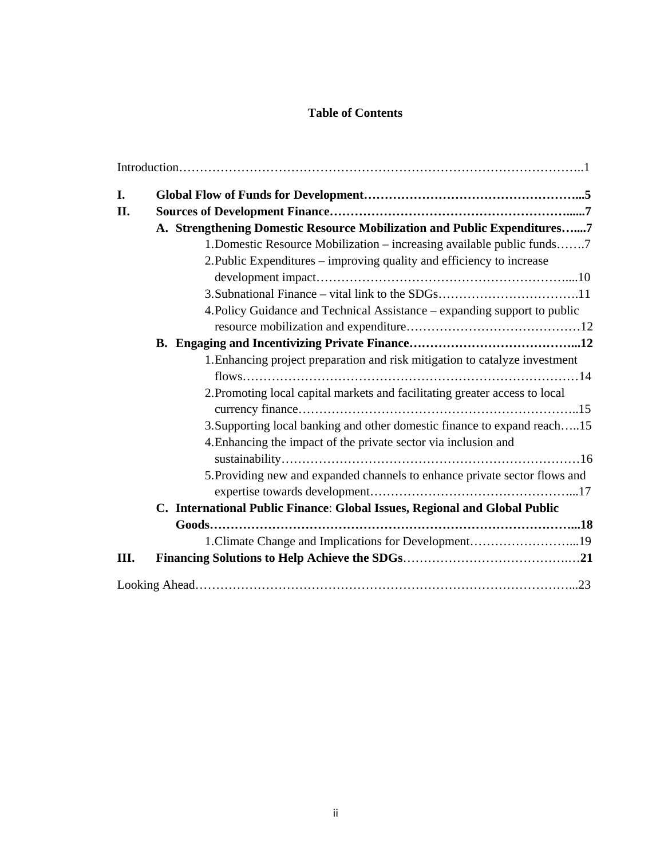## **Table of Contents**

| I. |                                                                             |
|----|-----------------------------------------------------------------------------|
| П. |                                                                             |
|    | A. Strengthening Domestic Resource Mobilization and Public Expenditures7    |
|    | 1. Domestic Resource Mobilization – increasing available public funds7      |
|    | 2. Public Expenditures - improving quality and efficiency to increase       |
|    |                                                                             |
|    |                                                                             |
|    | 4. Policy Guidance and Technical Assistance – expanding support to public   |
|    |                                                                             |
|    |                                                                             |
|    | 1. Enhancing project preparation and risk mitigation to catalyze investment |
|    |                                                                             |
|    | 2. Promoting local capital markets and facilitating greater access to local |
|    |                                                                             |
|    | 3. Supporting local banking and other domestic finance to expand reach15    |
|    | 4. Enhancing the impact of the private sector via inclusion and             |
|    |                                                                             |
|    | 5. Providing new and expanded channels to enhance private sector flows and  |
|    |                                                                             |
|    | C. International Public Finance: Global Issues, Regional and Global Public  |
|    |                                                                             |
|    | 1. Climate Change and Implications for Development19                        |
| Ш. |                                                                             |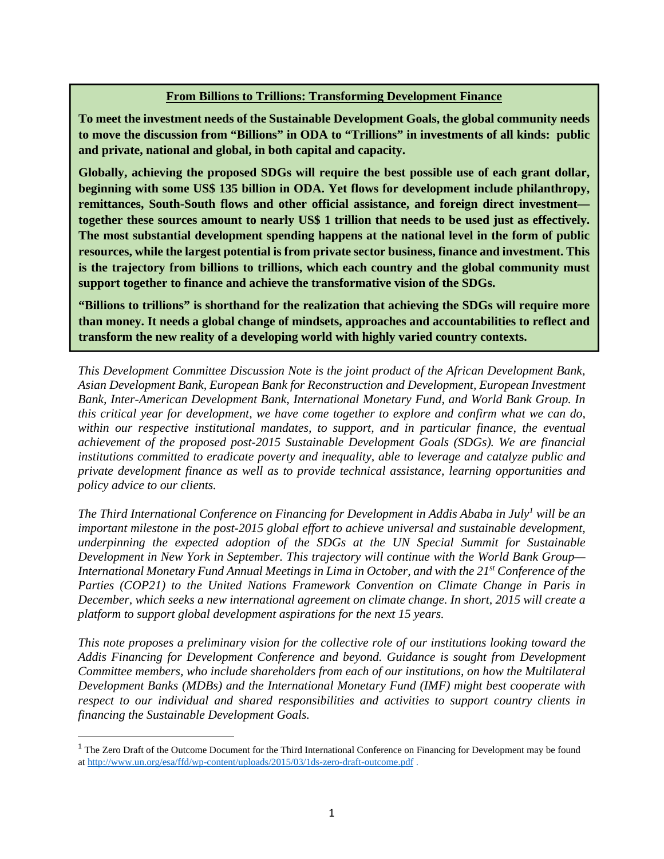#### **From Billions to Trillions: Transforming Development Finance**

**To meet the investment needs of the Sustainable Development Goals, the global community needs to move the discussion from "Billions" in ODA to "Trillions" in investments of all kinds: public and private, national and global, in both capital and capacity.** 

**Globally, achieving the proposed SDGs will require the best possible use of each grant dollar, beginning with some US\$ 135 billion in ODA. Yet flows for development include philanthropy, remittances, South-South flows and other official assistance, and foreign direct investment together these sources amount to nearly US\$ 1 trillion that needs to be used just as effectively. The most substantial development spending happens at the national level in the form of public resources, while the largest potential is from private sector business, finance and investment. This is the trajectory from billions to trillions, which each country and the global community must support together to finance and achieve the transformative vision of the SDGs.** 

**"Billions to trillions" is shorthand for the realization that achieving the SDGs will require more than money. It needs a global change of mindsets, approaches and accountabilities to reflect and transform the new reality of a developing world with highly varied country contexts.** 

*This Development Committee Discussion Note is the joint product of the African Development Bank, Asian Development Bank, European Bank for Reconstruction and Development, European Investment Bank, Inter-American Development Bank, International Monetary Fund, and World Bank Group. In this critical year for development, we have come together to explore and confirm what we can do, within our respective institutional mandates, to support, and in particular finance, the eventual achievement of the proposed post-2015 Sustainable Development Goals (SDGs). We are financial institutions committed to eradicate poverty and inequality, able to leverage and catalyze public and private development finance as well as to provide technical assistance, learning opportunities and policy advice to our clients.* 

*The Third International Conference on Financing for Development in Addis Ababa in July1 will be an important milestone in the post-2015 global effort to achieve universal and sustainable development, underpinning the expected adoption of the SDGs at the UN Special Summit for Sustainable Development in New York in September. This trajectory will continue with the World Bank Group— International Monetary Fund Annual Meetings in Lima in October, and with the 21st Conference of the Parties (COP21) to the United Nations Framework Convention on Climate Change in Paris in December, which seeks a new international agreement on climate change. In short, 2015 will create a platform to support global development aspirations for the next 15 years.* 

*This note proposes a preliminary vision for the collective role of our institutions looking toward the Addis Financing for Development Conference and beyond. Guidance is sought from Development Committee members, who include shareholders from each of our institutions, on how the Multilateral Development Banks (MDBs) and the International Monetary Fund (IMF) might best cooperate with respect to our individual and shared responsibilities and activities to support country clients in financing the Sustainable Development Goals.* 

<sup>&</sup>lt;sup>1</sup> The Zero Draft of the Outcome Document for the Third International Conference on Financing for Development may be found at http://www.un.org/esa/ffd/wp-content/uploads/2015/03/1ds-zero-draft-outcome.pdf .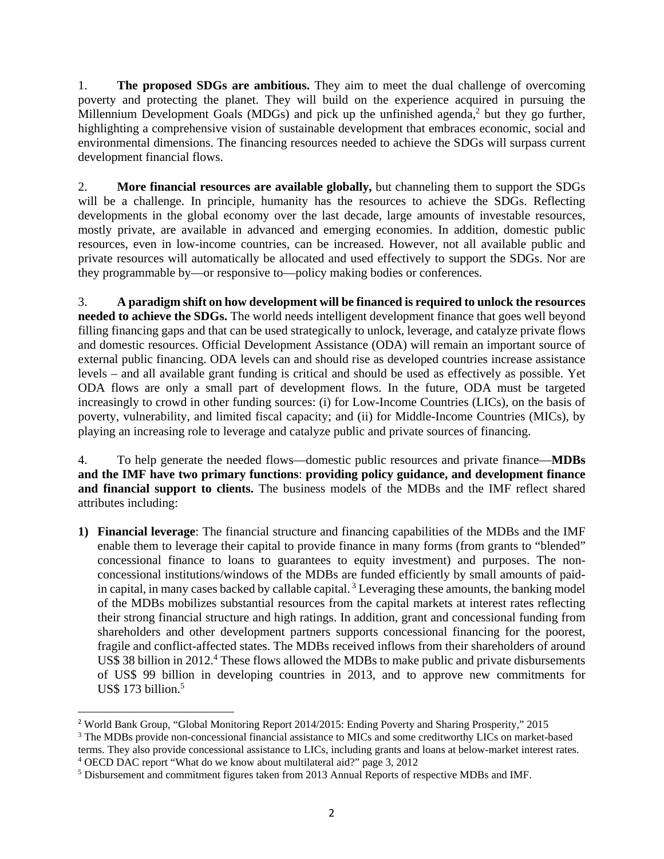1. **The proposed SDGs are ambitious.** They aim to meet the dual challenge of overcoming poverty and protecting the planet. They will build on the experience acquired in pursuing the Millennium Development Goals (MDGs) and pick up the unfinished agenda,<sup>2</sup> but they go further, highlighting a comprehensive vision of sustainable development that embraces economic, social and environmental dimensions. The financing resources needed to achieve the SDGs will surpass current development financial flows.

2. **More financial resources are available globally,** but channeling them to support the SDGs will be a challenge. In principle, humanity has the resources to achieve the SDGs. Reflecting developments in the global economy over the last decade, large amounts of investable resources, mostly private, are available in advanced and emerging economies. In addition, domestic public resources, even in low-income countries, can be increased. However, not all available public and private resources will automatically be allocated and used effectively to support the SDGs. Nor are they programmable by—or responsive to—policy making bodies or conferences.

3. **A paradigm shift on how development will be financed is required to unlock the resources needed to achieve the SDGs.** The world needs intelligent development finance that goes well beyond filling financing gaps and that can be used strategically to unlock, leverage, and catalyze private flows and domestic resources. Official Development Assistance (ODA) will remain an important source of external public financing. ODA levels can and should rise as developed countries increase assistance levels – and all available grant funding is critical and should be used as effectively as possible. Yet ODA flows are only a small part of development flows. In the future, ODA must be targeted increasingly to crowd in other funding sources: (i) for Low-Income Countries (LICs), on the basis of poverty, vulnerability, and limited fiscal capacity; and (ii) for Middle-Income Countries (MICs), by playing an increasing role to leverage and catalyze public and private sources of financing.

4. To help generate the needed flows—domestic public resources and private finance—**MDBs and the IMF have two primary functions**: **providing policy guidance, and development finance and financial support to clients.** The business models of the MDBs and the IMF reflect shared attributes including:

**1) Financial leverage**: The financial structure and financing capabilities of the MDBs and the IMF enable them to leverage their capital to provide finance in many forms (from grants to "blended" concessional finance to loans to guarantees to equity investment) and purposes. The nonconcessional institutions/windows of the MDBs are funded efficiently by small amounts of paidin capital, in many cases backed by callable capital.  $3$  Leveraging these amounts, the banking model of the MDBs mobilizes substantial resources from the capital markets at interest rates reflecting their strong financial structure and high ratings. In addition, grant and concessional funding from shareholders and other development partners supports concessional financing for the poorest, fragile and conflict-affected states. The MDBs received inflows from their shareholders of around US\$ 38 billion in 2012.<sup>4</sup> These flows allowed the MDBs to make public and private disbursements of US\$ 99 billion in developing countries in 2013, and to approve new commitments for US\$ 173 billion. $5$ 

<sup>2</sup> World Bank Group, "Global Monitoring Report 2014/2015: Ending Poverty and Sharing Prosperity," 2015

<sup>&</sup>lt;sup>3</sup> The MDBs provide non-concessional financial assistance to MICs and some creditworthy LICs on market-based terms. They also provide concessional assistance to LICs, including grants and loans at below-market interest rates. 4

OECD DAC report "What do we know about multilateral aid?" page 3, 2012

<sup>&</sup>lt;sup>5</sup> Disbursement and commitment figures taken from 2013 Annual Reports of respective MDBs and IMF.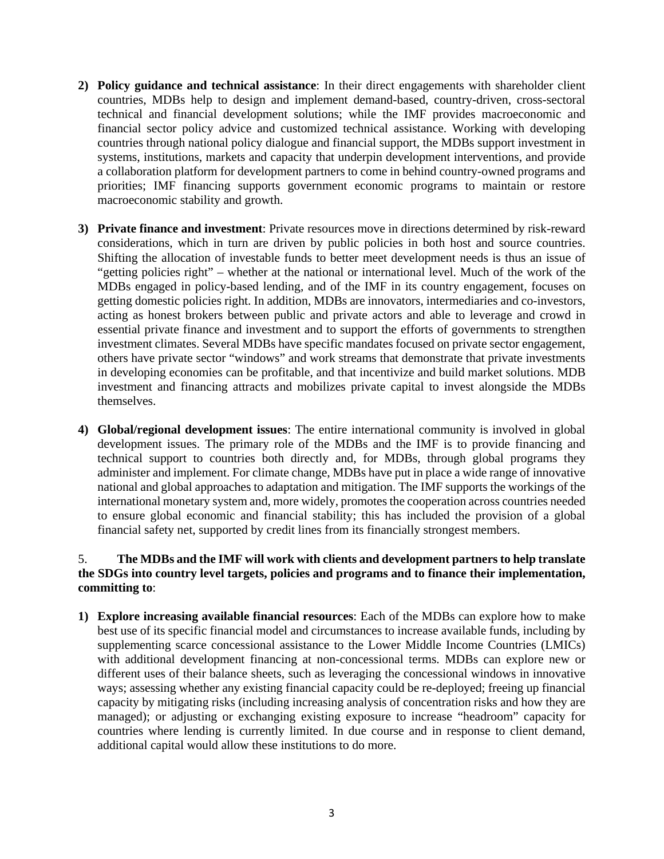- **2) Policy guidance and technical assistance**: In their direct engagements with shareholder client countries, MDBs help to design and implement demand-based, country-driven, cross-sectoral technical and financial development solutions; while the IMF provides macroeconomic and financial sector policy advice and customized technical assistance. Working with developing countries through national policy dialogue and financial support, the MDBs support investment in systems, institutions, markets and capacity that underpin development interventions, and provide a collaboration platform for development partners to come in behind country-owned programs and priorities; IMF financing supports government economic programs to maintain or restore macroeconomic stability and growth.
- **3) Private finance and investment**: Private resources move in directions determined by risk-reward considerations, which in turn are driven by public policies in both host and source countries. Shifting the allocation of investable funds to better meet development needs is thus an issue of "getting policies right" – whether at the national or international level. Much of the work of the MDBs engaged in policy-based lending, and of the IMF in its country engagement, focuses on getting domestic policies right. In addition, MDBs are innovators, intermediaries and co-investors, acting as honest brokers between public and private actors and able to leverage and crowd in essential private finance and investment and to support the efforts of governments to strengthen investment climates. Several MDBs have specific mandates focused on private sector engagement, others have private sector "windows" and work streams that demonstrate that private investments in developing economies can be profitable, and that incentivize and build market solutions. MDB investment and financing attracts and mobilizes private capital to invest alongside the MDBs themselves.
- **4) Global/regional development issues**: The entire international community is involved in global development issues. The primary role of the MDBs and the IMF is to provide financing and technical support to countries both directly and, for MDBs, through global programs they administer and implement. For climate change, MDBs have put in place a wide range of innovative national and global approaches to adaptation and mitigation. The IMF supports the workings of the international monetary system and, more widely, promotes the cooperation across countries needed to ensure global economic and financial stability; this has included the provision of a global financial safety net, supported by credit lines from its financially strongest members.

#### 5. **The MDBs and the IMF will work with clients and development partners to help translate the SDGs into country level targets, policies and programs and to finance their implementation, committing to**:

**1) Explore increasing available financial resources**: Each of the MDBs can explore how to make best use of its specific financial model and circumstances to increase available funds, including by supplementing scarce concessional assistance to the Lower Middle Income Countries (LMICs) with additional development financing at non-concessional terms. MDBs can explore new or different uses of their balance sheets, such as leveraging the concessional windows in innovative ways; assessing whether any existing financial capacity could be re-deployed; freeing up financial capacity by mitigating risks (including increasing analysis of concentration risks and how they are managed); or adjusting or exchanging existing exposure to increase "headroom" capacity for countries where lending is currently limited. In due course and in response to client demand, additional capital would allow these institutions to do more.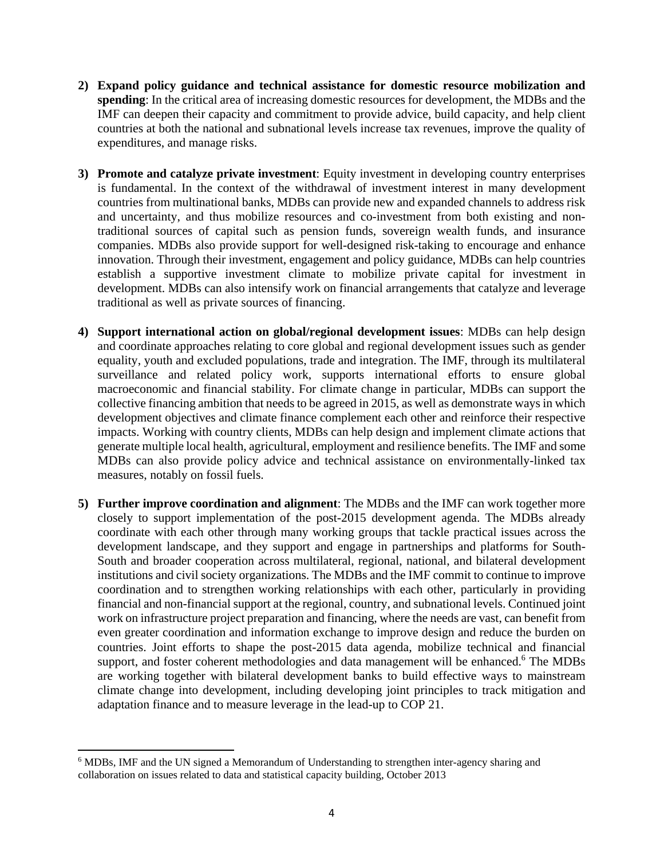- **2) Expand policy guidance and technical assistance for domestic resource mobilization and spending**: In the critical area of increasing domestic resources for development, the MDBs and the IMF can deepen their capacity and commitment to provide advice, build capacity, and help client countries at both the national and subnational levels increase tax revenues, improve the quality of expenditures, and manage risks.
- **3) Promote and catalyze private investment**: Equity investment in developing country enterprises is fundamental. In the context of the withdrawal of investment interest in many development countries from multinational banks, MDBs can provide new and expanded channels to address risk and uncertainty, and thus mobilize resources and co-investment from both existing and nontraditional sources of capital such as pension funds, sovereign wealth funds, and insurance companies. MDBs also provide support for well-designed risk-taking to encourage and enhance innovation. Through their investment, engagement and policy guidance, MDBs can help countries establish a supportive investment climate to mobilize private capital for investment in development. MDBs can also intensify work on financial arrangements that catalyze and leverage traditional as well as private sources of financing.
- **4) Support international action on global/regional development issues**: MDBs can help design and coordinate approaches relating to core global and regional development issues such as gender equality, youth and excluded populations, trade and integration. The IMF, through its multilateral surveillance and related policy work, supports international efforts to ensure global macroeconomic and financial stability. For climate change in particular, MDBs can support the collective financing ambition that needs to be agreed in 2015, as well as demonstrate ways in which development objectives and climate finance complement each other and reinforce their respective impacts. Working with country clients, MDBs can help design and implement climate actions that generate multiple local health, agricultural, employment and resilience benefits. The IMF and some MDBs can also provide policy advice and technical assistance on environmentally-linked tax measures, notably on fossil fuels.
- **5) Further improve coordination and alignment**: The MDBs and the IMF can work together more closely to support implementation of the post-2015 development agenda. The MDBs already coordinate with each other through many working groups that tackle practical issues across the development landscape, and they support and engage in partnerships and platforms for South-South and broader cooperation across multilateral, regional, national, and bilateral development institutions and civil society organizations. The MDBs and the IMF commit to continue to improve coordination and to strengthen working relationships with each other, particularly in providing financial and non-financial support at the regional, country, and subnational levels. Continued joint work on infrastructure project preparation and financing, where the needs are vast, can benefit from even greater coordination and information exchange to improve design and reduce the burden on countries. Joint efforts to shape the post-2015 data agenda, mobilize technical and financial support, and foster coherent methodologies and data management will be enhanced.<sup>6</sup> The MDBs are working together with bilateral development banks to build effective ways to mainstream climate change into development, including developing joint principles to track mitigation and adaptation finance and to measure leverage in the lead-up to COP 21.

<sup>&</sup>lt;sup>6</sup> MDBs, IMF and the UN signed a Memorandum of Understanding to strengthen inter-agency sharing and collaboration on issues related to data and statistical capacity building, October 2013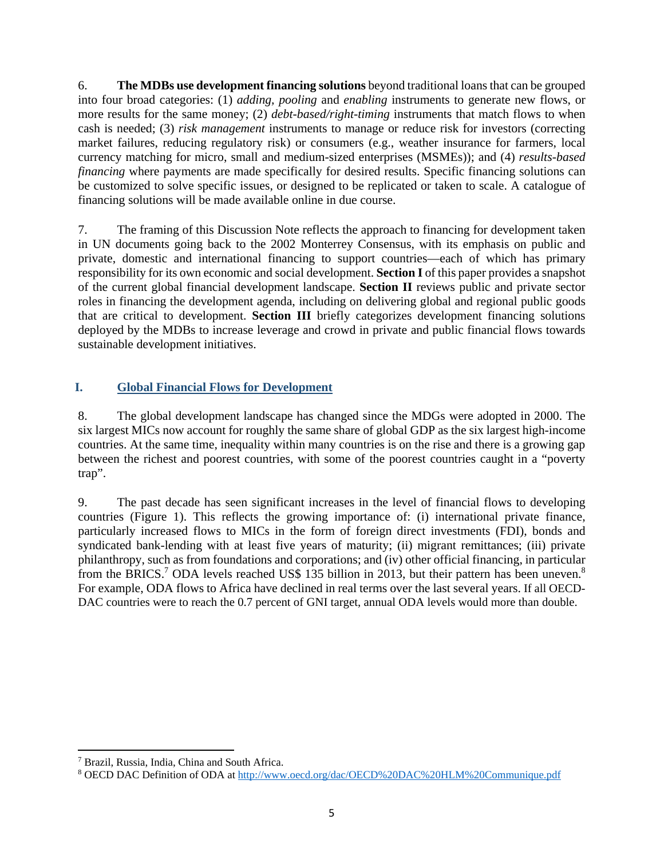6. **The MDBs use development financing solutions** beyond traditional loans that can be grouped into four broad categories: (1) *adding, pooling* and *enabling* instruments to generate new flows, or more results for the same money; (2) *debt-based/right-timing* instruments that match flows to when cash is needed; (3) *risk management* instruments to manage or reduce risk for investors (correcting market failures, reducing regulatory risk) or consumers (e.g., weather insurance for farmers, local currency matching for micro, small and medium-sized enterprises (MSMEs)); and (4) *results-based financing* where payments are made specifically for desired results. Specific financing solutions can be customized to solve specific issues, or designed to be replicated or taken to scale. A catalogue of financing solutions will be made available online in due course.

7. The framing of this Discussion Note reflects the approach to financing for development taken in UN documents going back to the 2002 Monterrey Consensus, with its emphasis on public and private, domestic and international financing to support countries—each of which has primary responsibility for its own economic and social development. **Section I** of this paper provides a snapshot of the current global financial development landscape. **Section II** reviews public and private sector roles in financing the development agenda, including on delivering global and regional public goods that are critical to development. **Section III** briefly categorizes development financing solutions deployed by the MDBs to increase leverage and crowd in private and public financial flows towards sustainable development initiatives.

## **I. Global Financial Flows for Development**

8. The global development landscape has changed since the MDGs were adopted in 2000. The six largest MICs now account for roughly the same share of global GDP as the six largest high-income countries. At the same time, inequality within many countries is on the rise and there is a growing gap between the richest and poorest countries, with some of the poorest countries caught in a "poverty trap".

9. The past decade has seen significant increases in the level of financial flows to developing countries (Figure 1). This reflects the growing importance of: (i) international private finance, particularly increased flows to MICs in the form of foreign direct investments (FDI), bonds and syndicated bank-lending with at least five years of maturity; (ii) migrant remittances; (iii) private philanthropy, such as from foundations and corporations; and (iv) other official financing, in particular from the BRICS.<sup>7</sup> ODA levels reached US\$ 135 billion in 2013, but their pattern has been uneven.<sup>8</sup> For example, ODA flows to Africa have declined in real terms over the last several years. If all OECD-DAC countries were to reach the 0.7 percent of GNI target, annual ODA levels would more than double.

<sup>7</sup> Brazil, Russia, India, China and South Africa.

<sup>&</sup>lt;sup>8</sup> OECD DAC Definition of ODA at http://www.oecd.org/dac/OECD%20DAC%20HLM%20Communique.pdf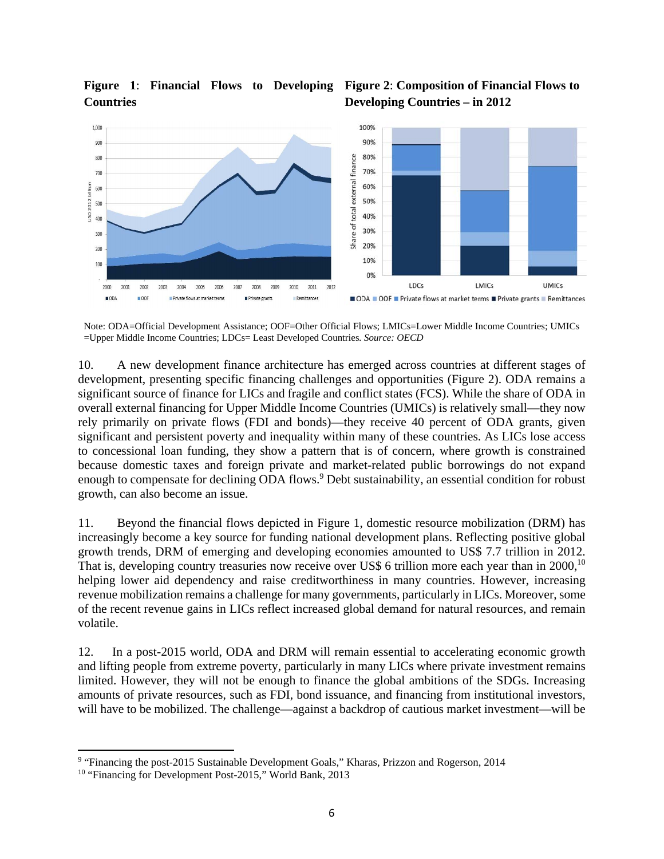

# **Countries**

## **Figure 1**: **Financial Flows to Developing Figure 2**: **Composition of Financial Flows to Developing Countries – in 2012**

Note: ODA=Official Development Assistance; OOF=Other Official Flows; LMICs=Lower Middle Income Countries; UMICs =Upper Middle Income Countries; LDCs= Least Developed Countries*. Source: OECD*

10. A new development finance architecture has emerged across countries at different stages of development, presenting specific financing challenges and opportunities (Figure 2). ODA remains a significant source of finance for LICs and fragile and conflict states (FCS). While the share of ODA in overall external financing for Upper Middle Income Countries (UMICs) is relatively small—they now rely primarily on private flows (FDI and bonds)—they receive 40 percent of ODA grants, given significant and persistent poverty and inequality within many of these countries. As LICs lose access to concessional loan funding, they show a pattern that is of concern, where growth is constrained because domestic taxes and foreign private and market-related public borrowings do not expand enough to compensate for declining ODA flows.<sup>9</sup> Debt sustainability, an essential condition for robust growth, can also become an issue.

11. Beyond the financial flows depicted in Figure 1, domestic resource mobilization (DRM) has increasingly become a key source for funding national development plans. Reflecting positive global growth trends, DRM of emerging and developing economies amounted to US\$ 7.7 trillion in 2012. That is, developing country treasuries now receive over US\$ 6 trillion more each year than in 2000,<sup>10</sup> helping lower aid dependency and raise creditworthiness in many countries. However, increasing revenue mobilization remains a challenge for many governments, particularly in LICs. Moreover, some of the recent revenue gains in LICs reflect increased global demand for natural resources, and remain volatile.

12. In a post-2015 world, ODA and DRM will remain essential to accelerating economic growth and lifting people from extreme poverty, particularly in many LICs where private investment remains limited. However, they will not be enough to finance the global ambitions of the SDGs. Increasing amounts of private resources, such as FDI, bond issuance, and financing from institutional investors, will have to be mobilized. The challenge—against a backdrop of cautious market investment—will be

<sup>&</sup>lt;sup>9</sup> "Financing the post-2015 Sustainable Development Goals," Kharas, Prizzon and Rogerson, 2014

<sup>&</sup>lt;sup>10</sup> "Financing for Development Post-2015," World Bank, 2013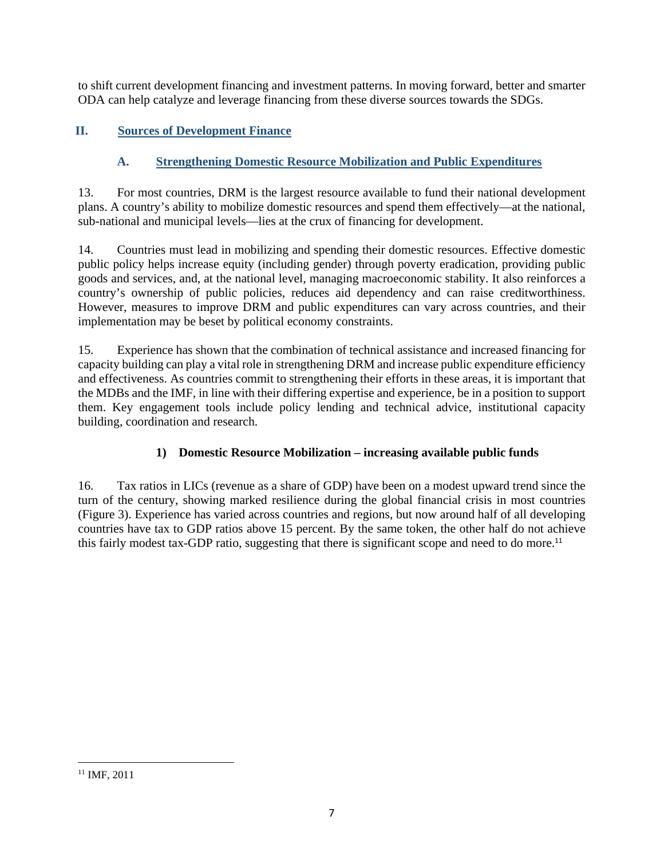to shift current development financing and investment patterns. In moving forward, better and smarter ODA can help catalyze and leverage financing from these diverse sources towards the SDGs.

## **II. Sources of Development Finance**

## **A. Strengthening Domestic Resource Mobilization and Public Expenditures**

13. For most countries, DRM is the largest resource available to fund their national development plans. A country's ability to mobilize domestic resources and spend them effectively—at the national, sub-national and municipal levels—lies at the crux of financing for development.

14. Countries must lead in mobilizing and spending their domestic resources. Effective domestic public policy helps increase equity (including gender) through poverty eradication, providing public goods and services, and, at the national level, managing macroeconomic stability. It also reinforces a country's ownership of public policies, reduces aid dependency and can raise creditworthiness. However, measures to improve DRM and public expenditures can vary across countries, and their implementation may be beset by political economy constraints.

15. Experience has shown that the combination of technical assistance and increased financing for capacity building can play a vital role in strengthening DRM and increase public expenditure efficiency and effectiveness. As countries commit to strengthening their efforts in these areas, it is important that the MDBs and the IMF, in line with their differing expertise and experience, be in a position to support them. Key engagement tools include policy lending and technical advice, institutional capacity building, coordination and research.

## **1) Domestic Resource Mobilization – increasing available public funds**

16. Tax ratios in LICs (revenue as a share of GDP) have been on a modest upward trend since the turn of the century, showing marked resilience during the global financial crisis in most countries (Figure 3). Experience has varied across countries and regions, but now around half of all developing countries have tax to GDP ratios above 15 percent. By the same token, the other half do not achieve this fairly modest tax-GDP ratio, suggesting that there is significant scope and need to do more.<sup>11</sup>

 <sup>11</sup> IMF, 2011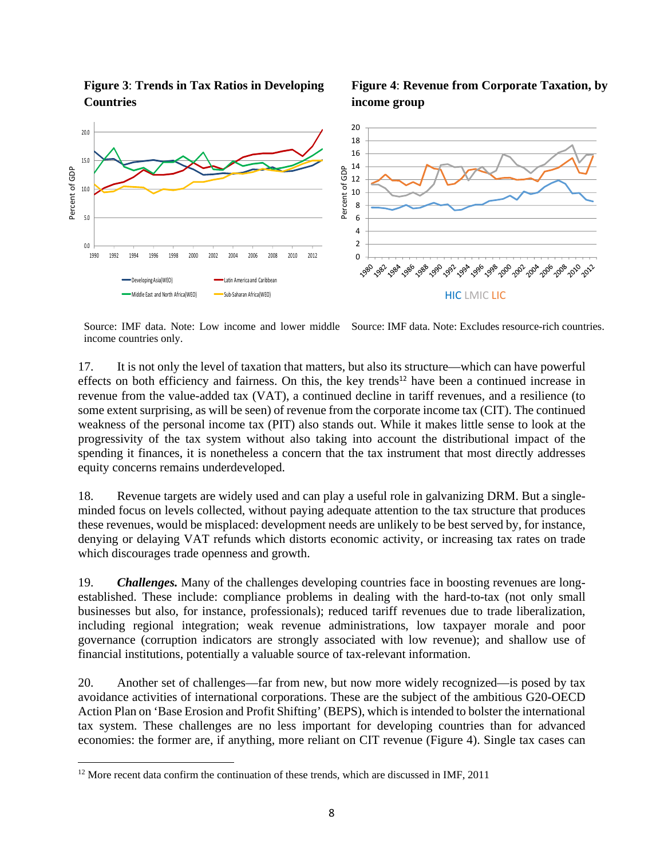**Figure 3**: **Trends in Tax Ratios in Developing Countries** 





Source: IMF data. Note: Low income and lower middle Source: IMF data. Note: Excludes resource-rich countries. income countries only.

17. It is not only the level of taxation that matters, but also its structure—which can have powerful effects on both efficiency and fairness. On this, the key trends<sup>12</sup> have been a continued increase in revenue from the value-added tax (VAT), a continued decline in tariff revenues, and a resilience (to some extent surprising, as will be seen) of revenue from the corporate income tax (CIT). The continued weakness of the personal income tax (PIT) also stands out. While it makes little sense to look at the progressivity of the tax system without also taking into account the distributional impact of the spending it finances, it is nonetheless a concern that the tax instrument that most directly addresses equity concerns remains underdeveloped.

18. Revenue targets are widely used and can play a useful role in galvanizing DRM. But a singleminded focus on levels collected, without paying adequate attention to the tax structure that produces these revenues, would be misplaced: development needs are unlikely to be best served by, for instance, denying or delaying VAT refunds which distorts economic activity, or increasing tax rates on trade which discourages trade openness and growth.

19. *Challenges.* Many of the challenges developing countries face in boosting revenues are longestablished. These include: compliance problems in dealing with the hard-to-tax (not only small businesses but also, for instance, professionals); reduced tariff revenues due to trade liberalization, including regional integration; weak revenue administrations, low taxpayer morale and poor governance (corruption indicators are strongly associated with low revenue); and shallow use of financial institutions, potentially a valuable source of tax-relevant information.

20. Another set of challenges—far from new, but now more widely recognized—is posed by tax avoidance activities of international corporations. These are the subject of the ambitious G20-OECD Action Plan on 'Base Erosion and Profit Shifting' (BEPS), which is intended to bolster the international tax system. These challenges are no less important for developing countries than for advanced economies: the former are, if anything, more reliant on CIT revenue (Figure 4). Single tax cases can

 $12$  More recent data confirm the continuation of these trends, which are discussed in IMF, 2011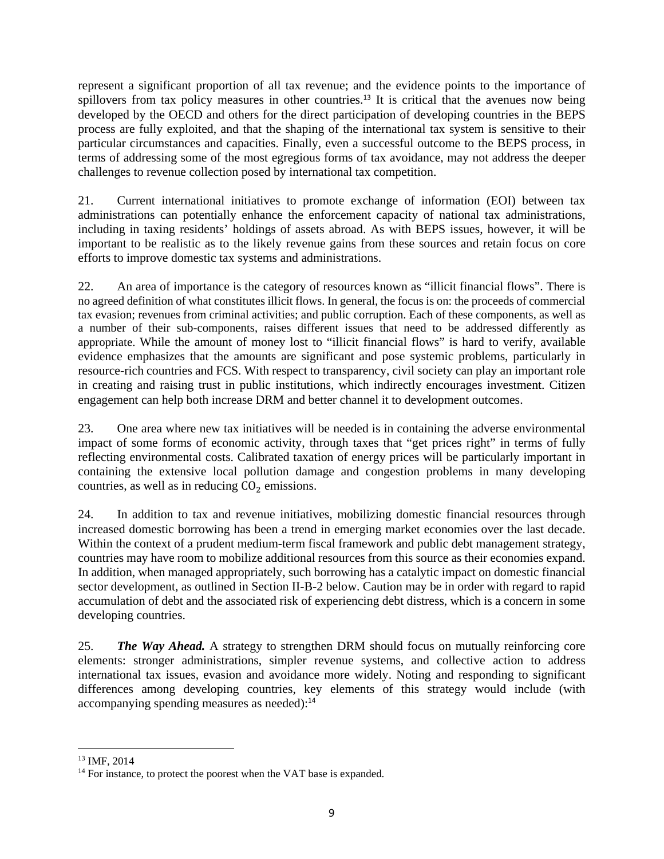represent a significant proportion of all tax revenue; and the evidence points to the importance of spillovers from tax policy measures in other countries.<sup>13</sup> It is critical that the avenues now being developed by the OECD and others for the direct participation of developing countries in the BEPS process are fully exploited, and that the shaping of the international tax system is sensitive to their particular circumstances and capacities. Finally, even a successful outcome to the BEPS process, in terms of addressing some of the most egregious forms of tax avoidance, may not address the deeper challenges to revenue collection posed by international tax competition.

21. Current international initiatives to promote exchange of information (EOI) between tax administrations can potentially enhance the enforcement capacity of national tax administrations, including in taxing residents' holdings of assets abroad. As with BEPS issues, however, it will be important to be realistic as to the likely revenue gains from these sources and retain focus on core efforts to improve domestic tax systems and administrations.

22. An area of importance is the category of resources known as "illicit financial flows". There is no agreed definition of what constitutes illicit flows. In general, the focus is on: the proceeds of commercial tax evasion; revenues from criminal activities; and public corruption. Each of these components, as well as a number of their sub-components, raises different issues that need to be addressed differently as appropriate. While the amount of money lost to "illicit financial flows" is hard to verify, available evidence emphasizes that the amounts are significant and pose systemic problems, particularly in resource-rich countries and FCS. With respect to transparency, civil society can play an important role in creating and raising trust in public institutions, which indirectly encourages investment. Citizen engagement can help both increase DRM and better channel it to development outcomes.

23. One area where new tax initiatives will be needed is in containing the adverse environmental impact of some forms of economic activity, through taxes that "get prices right" in terms of fully reflecting environmental costs. Calibrated taxation of energy prices will be particularly important in containing the extensive local pollution damage and congestion problems in many developing countries, as well as in reducing  $CO<sub>2</sub>$  emissions.

24. In addition to tax and revenue initiatives, mobilizing domestic financial resources through increased domestic borrowing has been a trend in emerging market economies over the last decade. Within the context of a prudent medium-term fiscal framework and public debt management strategy, countries may have room to mobilize additional resources from this source as their economies expand. In addition, when managed appropriately, such borrowing has a catalytic impact on domestic financial sector development, as outlined in Section II-B-2 below. Caution may be in order with regard to rapid accumulation of debt and the associated risk of experiencing debt distress, which is a concern in some developing countries.

25. *The Way Ahead.* A strategy to strengthen DRM should focus on mutually reinforcing core elements: stronger administrations, simpler revenue systems, and collective action to address international tax issues, evasion and avoidance more widely. Noting and responding to significant differences among developing countries, key elements of this strategy would include (with accompanying spending measures as needed):<sup>14</sup>

 13 IMF, 2014

<sup>&</sup>lt;sup>14</sup> For instance, to protect the poorest when the VAT base is expanded.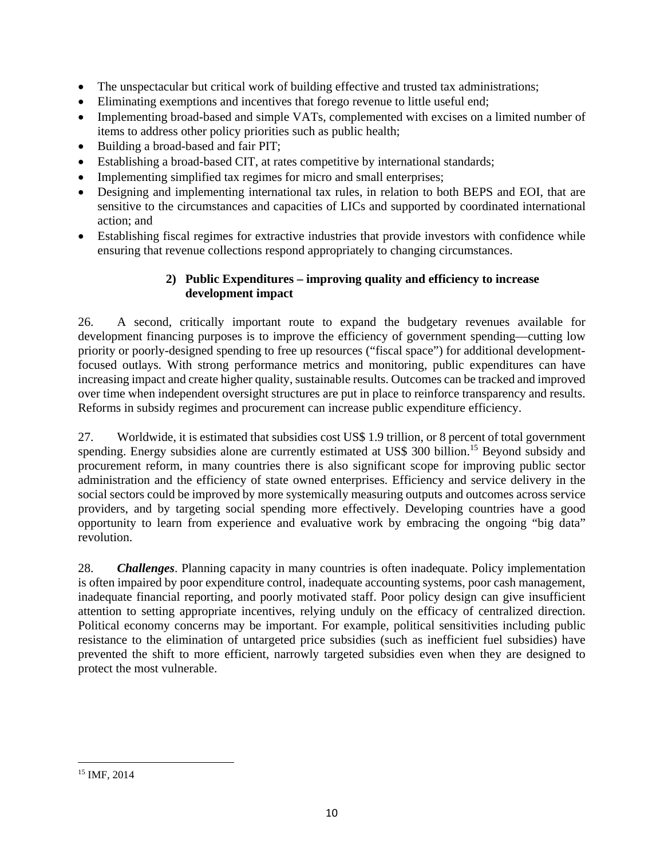- The unspectacular but critical work of building effective and trusted tax administrations;
- Eliminating exemptions and incentives that forego revenue to little useful end;
- Implementing broad-based and simple VATs, complemented with excises on a limited number of items to address other policy priorities such as public health;
- Building a broad-based and fair PIT;
- Establishing a broad-based CIT, at rates competitive by international standards;
- Implementing simplified tax regimes for micro and small enterprises;
- Designing and implementing international tax rules, in relation to both BEPS and EOI, that are sensitive to the circumstances and capacities of LICs and supported by coordinated international action; and
- Establishing fiscal regimes for extractive industries that provide investors with confidence while ensuring that revenue collections respond appropriately to changing circumstances.

## **2) Public Expenditures – improving quality and efficiency to increase development impact**

26. A second, critically important route to expand the budgetary revenues available for development financing purposes is to improve the efficiency of government spending—cutting low priority or poorly-designed spending to free up resources ("fiscal space") for additional developmentfocused outlays. With strong performance metrics and monitoring, public expenditures can have increasing impact and create higher quality, sustainable results. Outcomes can be tracked and improved over time when independent oversight structures are put in place to reinforce transparency and results. Reforms in subsidy regimes and procurement can increase public expenditure efficiency.

27. Worldwide, it is estimated that subsidies cost US\$ 1.9 trillion, or 8 percent of total government spending. Energy subsidies alone are currently estimated at US\$ 300 billion.<sup>15</sup> Beyond subsidy and procurement reform, in many countries there is also significant scope for improving public sector administration and the efficiency of state owned enterprises. Efficiency and service delivery in the social sectors could be improved by more systemically measuring outputs and outcomes across service providers, and by targeting social spending more effectively. Developing countries have a good opportunity to learn from experience and evaluative work by embracing the ongoing "big data" revolution.

28. *Challenges*. Planning capacity in many countries is often inadequate. Policy implementation is often impaired by poor expenditure control, inadequate accounting systems, poor cash management, inadequate financial reporting, and poorly motivated staff. Poor policy design can give insufficient attention to setting appropriate incentives, relying unduly on the efficacy of centralized direction. Political economy concerns may be important. For example, political sensitivities including public resistance to the elimination of untargeted price subsidies (such as inefficient fuel subsidies) have prevented the shift to more efficient, narrowly targeted subsidies even when they are designed to protect the most vulnerable.

 <sup>15</sup> IMF, 2014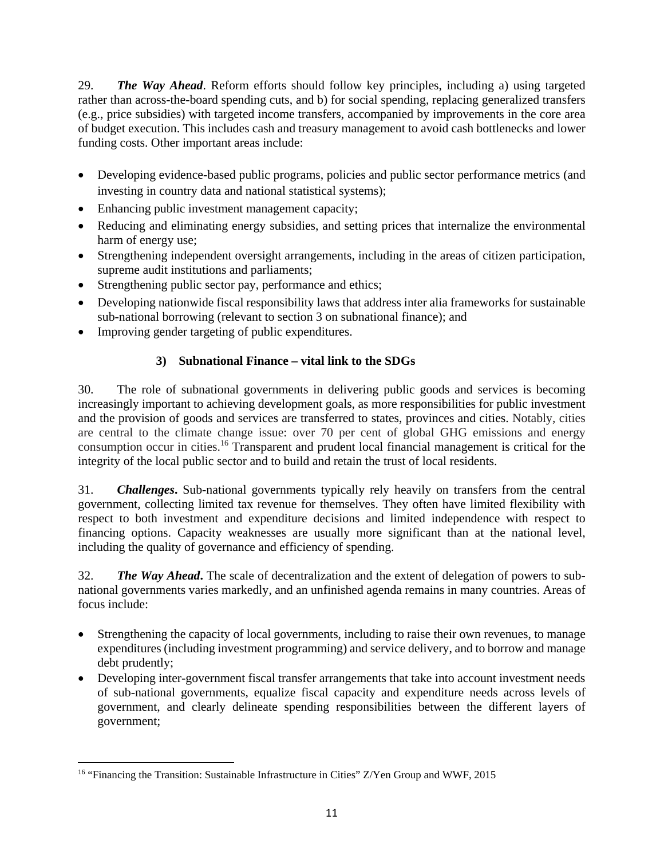29. *The Way Ahead*. Reform efforts should follow key principles, including a) using targeted rather than across-the-board spending cuts, and b) for social spending, replacing generalized transfers (e.g., price subsidies) with targeted income transfers, accompanied by improvements in the core area of budget execution. This includes cash and treasury management to avoid cash bottlenecks and lower funding costs. Other important areas include:

- Developing evidence-based public programs, policies and public sector performance metrics (and investing in country data and national statistical systems);
- Enhancing public investment management capacity;
- Reducing and eliminating energy subsidies, and setting prices that internalize the environmental harm of energy use;
- Strengthening independent oversight arrangements, including in the areas of citizen participation, supreme audit institutions and parliaments;
- Strengthening public sector pay, performance and ethics;
- Developing nationwide fiscal responsibility laws that address inter alia frameworks for sustainable sub-national borrowing (relevant to section 3 on subnational finance); and
- Improving gender targeting of public expenditures.

## **3) Subnational Finance – vital link to the SDGs**

30. The role of subnational governments in delivering public goods and services is becoming increasingly important to achieving development goals, as more responsibilities for public investment and the provision of goods and services are transferred to states, provinces and cities. Notably, cities are central to the climate change issue: over 70 per cent of global GHG emissions and energy consumption occur in cities.16 Transparent and prudent local financial management is critical for the integrity of the local public sector and to build and retain the trust of local residents.

31. *Challenges***.** Sub-national governments typically rely heavily on transfers from the central government, collecting limited tax revenue for themselves. They often have limited flexibility with respect to both investment and expenditure decisions and limited independence with respect to financing options. Capacity weaknesses are usually more significant than at the national level, including the quality of governance and efficiency of spending.

32. *The Way Ahead***.** The scale of decentralization and the extent of delegation of powers to subnational governments varies markedly, and an unfinished agenda remains in many countries. Areas of focus include:

- Strengthening the capacity of local governments, including to raise their own revenues, to manage expenditures (including investment programming) and service delivery, and to borrow and manage debt prudently;
- Developing inter-government fiscal transfer arrangements that take into account investment needs of sub-national governments, equalize fiscal capacity and expenditure needs across levels of government, and clearly delineate spending responsibilities between the different layers of government;

 <sup>16</sup> "Financing the Transition: Sustainable Infrastructure in Cities" Z/Yen Group and WWF, 2015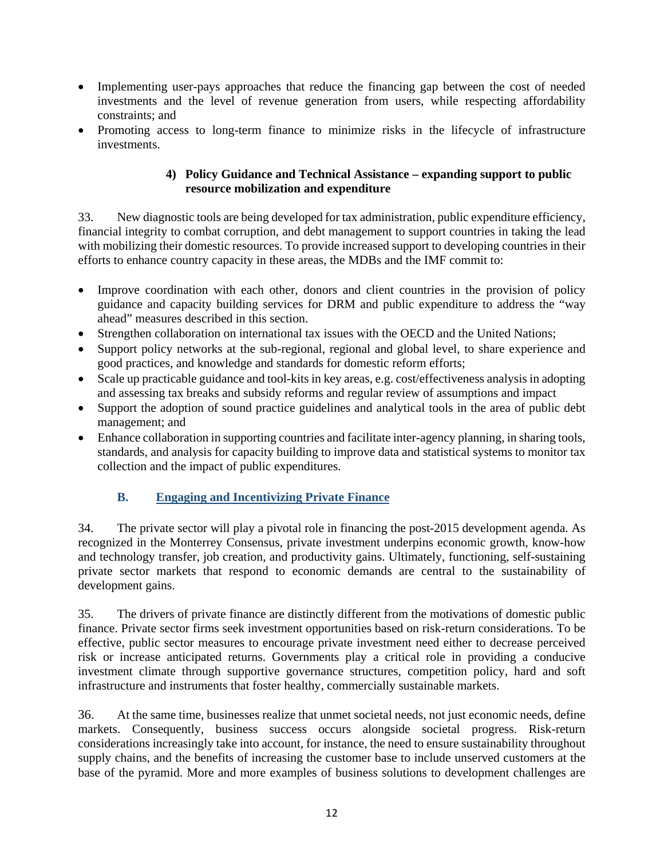- Implementing user-pays approaches that reduce the financing gap between the cost of needed investments and the level of revenue generation from users, while respecting affordability constraints; and
- Promoting access to long-term finance to minimize risks in the lifecycle of infrastructure investments.

#### **4) Policy Guidance and Technical Assistance – expanding support to public resource mobilization and expenditure**

33. New diagnostic tools are being developed for tax administration, public expenditure efficiency, financial integrity to combat corruption, and debt management to support countries in taking the lead with mobilizing their domestic resources. To provide increased support to developing countries in their efforts to enhance country capacity in these areas, the MDBs and the IMF commit to:

- Improve coordination with each other, donors and client countries in the provision of policy guidance and capacity building services for DRM and public expenditure to address the "way ahead" measures described in this section.
- Strengthen collaboration on international tax issues with the OECD and the United Nations;
- Support policy networks at the sub-regional, regional and global level, to share experience and good practices, and knowledge and standards for domestic reform efforts;
- Scale up practicable guidance and tool-kits in key areas, e.g. cost/effectiveness analysis in adopting and assessing tax breaks and subsidy reforms and regular review of assumptions and impact
- Support the adoption of sound practice guidelines and analytical tools in the area of public debt management; and
- Enhance collaboration in supporting countries and facilitate inter-agency planning, in sharing tools, standards, and analysis for capacity building to improve data and statistical systems to monitor tax collection and the impact of public expenditures.

## **B. Engaging and Incentivizing Private Finance**

34. The private sector will play a pivotal role in financing the post-2015 development agenda. As recognized in the Monterrey Consensus, private investment underpins economic growth, know-how and technology transfer, job creation, and productivity gains. Ultimately, functioning, self-sustaining private sector markets that respond to economic demands are central to the sustainability of development gains.

35. The drivers of private finance are distinctly different from the motivations of domestic public finance. Private sector firms seek investment opportunities based on risk-return considerations. To be effective, public sector measures to encourage private investment need either to decrease perceived risk or increase anticipated returns. Governments play a critical role in providing a conducive investment climate through supportive governance structures, competition policy, hard and soft infrastructure and instruments that foster healthy, commercially sustainable markets.

36. At the same time, businesses realize that unmet societal needs, not just economic needs, define markets. Consequently, business success occurs alongside societal progress. Risk-return considerations increasingly take into account, for instance, the need to ensure sustainability throughout supply chains, and the benefits of increasing the customer base to include unserved customers at the base of the pyramid. More and more examples of business solutions to development challenges are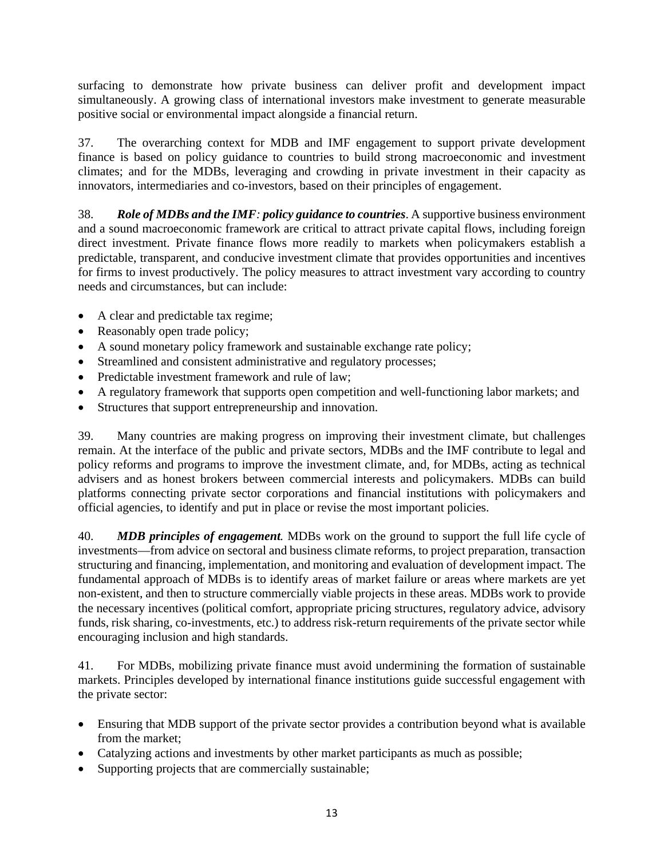surfacing to demonstrate how private business can deliver profit and development impact simultaneously. A growing class of international investors make investment to generate measurable positive social or environmental impact alongside a financial return.

37. The overarching context for MDB and IMF engagement to support private development finance is based on policy guidance to countries to build strong macroeconomic and investment climates; and for the MDBs, leveraging and crowding in private investment in their capacity as innovators, intermediaries and co-investors, based on their principles of engagement.

38. *Role of MDBs and the IMF: policy guidance to countries*. A supportive business environment and a sound macroeconomic framework are critical to attract private capital flows, including foreign direct investment. Private finance flows more readily to markets when policymakers establish a predictable, transparent, and conducive investment climate that provides opportunities and incentives for firms to invest productively. The policy measures to attract investment vary according to country needs and circumstances, but can include:

- A clear and predictable tax regime;
- Reasonably open trade policy;
- A sound monetary policy framework and sustainable exchange rate policy;
- Streamlined and consistent administrative and regulatory processes;
- Predictable investment framework and rule of law;
- A regulatory framework that supports open competition and well-functioning labor markets; and
- Structures that support entrepreneurship and innovation.

39. Many countries are making progress on improving their investment climate, but challenges remain. At the interface of the public and private sectors, MDBs and the IMF contribute to legal and policy reforms and programs to improve the investment climate, and, for MDBs, acting as technical advisers and as honest brokers between commercial interests and policymakers. MDBs can build platforms connecting private sector corporations and financial institutions with policymakers and official agencies, to identify and put in place or revise the most important policies.

40. *MDB principles of engagement.* MDBs work on the ground to support the full life cycle of investments—from advice on sectoral and business climate reforms, to project preparation, transaction structuring and financing, implementation, and monitoring and evaluation of development impact. The fundamental approach of MDBs is to identify areas of market failure or areas where markets are yet non-existent, and then to structure commercially viable projects in these areas. MDBs work to provide the necessary incentives (political comfort, appropriate pricing structures, regulatory advice, advisory funds, risk sharing, co-investments, etc.) to address risk-return requirements of the private sector while encouraging inclusion and high standards.

41. For MDBs, mobilizing private finance must avoid undermining the formation of sustainable markets. Principles developed by international finance institutions guide successful engagement with the private sector:

- Ensuring that MDB support of the private sector provides a contribution beyond what is available from the market;
- Catalyzing actions and investments by other market participants as much as possible;
- Supporting projects that are commercially sustainable;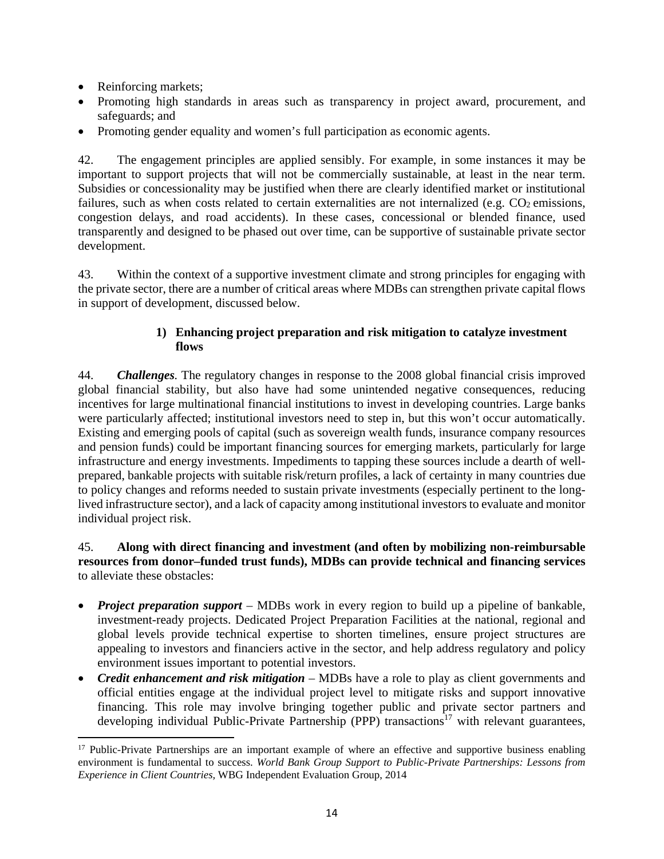• Reinforcing markets;

- Promoting high standards in areas such as transparency in project award, procurement, and safeguards; and
- Promoting gender equality and women's full participation as economic agents.

42. The engagement principles are applied sensibly. For example, in some instances it may be important to support projects that will not be commercially sustainable, at least in the near term. Subsidies or concessionality may be justified when there are clearly identified market or institutional failures, such as when costs related to certain externalities are not internalized (e.g. CO<sub>2</sub> emissions, congestion delays, and road accidents). In these cases, concessional or blended finance, used transparently and designed to be phased out over time, can be supportive of sustainable private sector development.

43. Within the context of a supportive investment climate and strong principles for engaging with the private sector, there are a number of critical areas where MDBs can strengthen private capital flows in support of development, discussed below.

## **1) Enhancing project preparation and risk mitigation to catalyze investment flows**

44. *Challenges.* The regulatory changes in response to the 2008 global financial crisis improved global financial stability, but also have had some unintended negative consequences, reducing incentives for large multinational financial institutions to invest in developing countries. Large banks were particularly affected; institutional investors need to step in, but this won't occur automatically. Existing and emerging pools of capital (such as sovereign wealth funds, insurance company resources and pension funds) could be important financing sources for emerging markets, particularly for large infrastructure and energy investments. Impediments to tapping these sources include a dearth of wellprepared, bankable projects with suitable risk/return profiles, a lack of certainty in many countries due to policy changes and reforms needed to sustain private investments (especially pertinent to the longlived infrastructure sector), and a lack of capacity among institutional investors to evaluate and monitor individual project risk.

#### 45. **Along with direct financing and investment (and often by mobilizing non-reimbursable resources from donor–funded trust funds), MDBs can provide technical and financing services** to alleviate these obstacles:

- *Project preparation support* MDBs work in every region to build up a pipeline of bankable, investment-ready projects. Dedicated Project Preparation Facilities at the national, regional and global levels provide technical expertise to shorten timelines, ensure project structures are appealing to investors and financiers active in the sector, and help address regulatory and policy environment issues important to potential investors.
- *Credit enhancement and risk mitigation* MDBs have a role to play as client governments and official entities engage at the individual project level to mitigate risks and support innovative financing. This role may involve bringing together public and private sector partners and developing individual Public-Private Partnership (PPP) transactions<sup>17</sup> with relevant guarantees.

<sup>&</sup>lt;sup>17</sup> Public-Private Partnerships are an important example of where an effective and supportive business enabling environment is fundamental to success. *World Bank Group Support to Public-Private Partnerships: Lessons from Experience in Client Countries,* WBG Independent Evaluation Group, 2014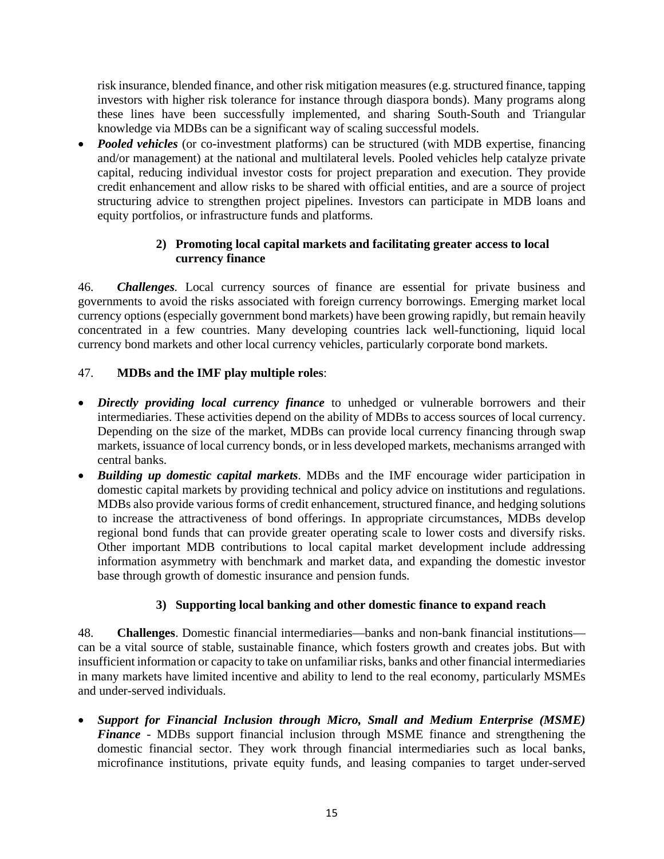risk insurance, blended finance, and other risk mitigation measures (e.g. structured finance, tapping investors with higher risk tolerance for instance through diaspora bonds). Many programs along these lines have been successfully implemented, and sharing South-South and Triangular knowledge via MDBs can be a significant way of scaling successful models.

 *Pooled vehicles* (or co-investment platforms) can be structured (with MDB expertise, financing and/or management) at the national and multilateral levels. Pooled vehicles help catalyze private capital, reducing individual investor costs for project preparation and execution. They provide credit enhancement and allow risks to be shared with official entities, and are a source of project structuring advice to strengthen project pipelines. Investors can participate in MDB loans and equity portfolios, or infrastructure funds and platforms.

## **2) Promoting local capital markets and facilitating greater access to local currency finance**

46. *Challenges.* Local currency sources of finance are essential for private business and governments to avoid the risks associated with foreign currency borrowings. Emerging market local currency options (especially government bond markets) have been growing rapidly, but remain heavily concentrated in a few countries. Many developing countries lack well-functioning, liquid local currency bond markets and other local currency vehicles, particularly corporate bond markets.

## 47. **MDBs and the IMF play multiple roles**:

- *Directly providing local currency finance* to unhedged or vulnerable borrowers and their intermediaries. These activities depend on the ability of MDBs to access sources of local currency. Depending on the size of the market, MDBs can provide local currency financing through swap markets, issuance of local currency bonds, or in less developed markets, mechanisms arranged with central banks.
- *Building up domestic capital markets*. MDBs and the IMF encourage wider participation in domestic capital markets by providing technical and policy advice on institutions and regulations. MDBs also provide various forms of credit enhancement, structured finance, and hedging solutions to increase the attractiveness of bond offerings. In appropriate circumstances, MDBs develop regional bond funds that can provide greater operating scale to lower costs and diversify risks. Other important MDB contributions to local capital market development include addressing information asymmetry with benchmark and market data, and expanding the domestic investor base through growth of domestic insurance and pension funds.

## **3) Supporting local banking and other domestic finance to expand reach**

48. **Challenges**. Domestic financial intermediaries—banks and non-bank financial institutions can be a vital source of stable, sustainable finance, which fosters growth and creates jobs. But with insufficient information or capacity to take on unfamiliar risks, banks and other financial intermediaries in many markets have limited incentive and ability to lend to the real economy, particularly MSMEs and under-served individuals.

 *Support for Financial Inclusion through Micro, Small and Medium Enterprise (MSME) Finance -* MDBs support financial inclusion through MSME finance and strengthening the domestic financial sector. They work through financial intermediaries such as local banks, microfinance institutions, private equity funds, and leasing companies to target under-served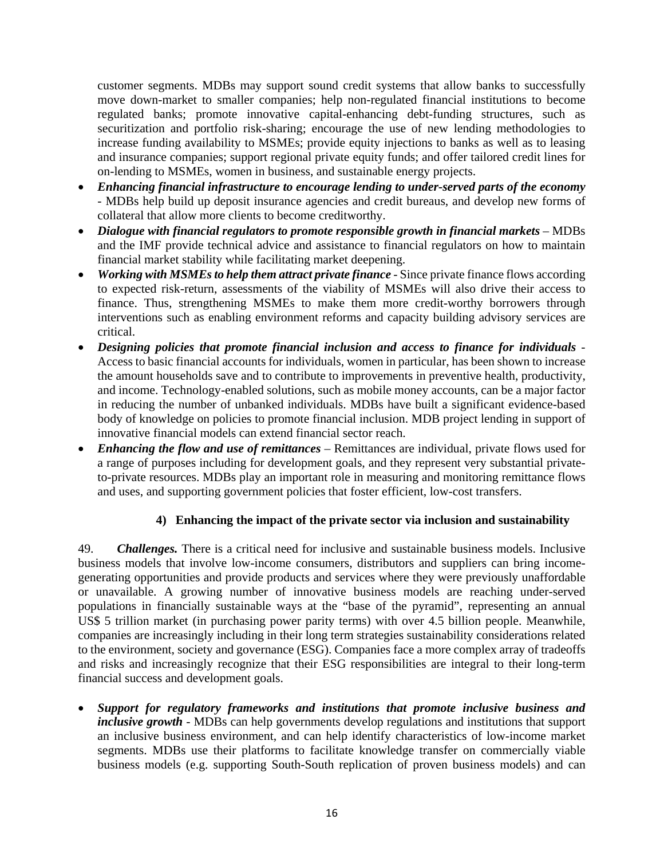customer segments. MDBs may support sound credit systems that allow banks to successfully move down-market to smaller companies; help non-regulated financial institutions to become regulated banks; promote innovative capital-enhancing debt-funding structures, such as securitization and portfolio risk-sharing; encourage the use of new lending methodologies to increase funding availability to MSMEs; provide equity injections to banks as well as to leasing and insurance companies; support regional private equity funds; and offer tailored credit lines for on-lending to MSMEs, women in business, and sustainable energy projects.

- *Enhancing financial infrastructure to encourage lending to under-served parts of the economy* - MDBs help build up deposit insurance agencies and credit bureaus, and develop new forms of collateral that allow more clients to become creditworthy.
- *Dialogue with financial regulators to promote responsible growth in financial markets –* MDBs and the IMF provide technical advice and assistance to financial regulators on how to maintain financial market stability while facilitating market deepening.
- *Working with MSMEs to help them attract private finance* Since private finance flows according to expected risk-return, assessments of the viability of MSMEs will also drive their access to finance. Thus, strengthening MSMEs to make them more credit-worthy borrowers through interventions such as enabling environment reforms and capacity building advisory services are critical.
- *Designing policies that promote financial inclusion and access to finance for individuals*  Access to basic financial accounts for individuals, women in particular, has been shown to increase the amount households save and to contribute to improvements in preventive health, productivity, and income. Technology-enabled solutions, such as mobile money accounts, can be a major factor in reducing the number of unbanked individuals. MDBs have built a significant evidence-based body of knowledge on policies to promote financial inclusion. MDB project lending in support of innovative financial models can extend financial sector reach.
- *Enhancing the flow and use of remittances*  Remittances are individual, private flows used for a range of purposes including for development goals, and they represent very substantial privateto-private resources. MDBs play an important role in measuring and monitoring remittance flows and uses, and supporting government policies that foster efficient, low-cost transfers.

## **4) Enhancing the impact of the private sector via inclusion and sustainability**

49. *Challenges.* There is a critical need for inclusive and sustainable business models. Inclusive business models that involve low-income consumers, distributors and suppliers can bring incomegenerating opportunities and provide products and services where they were previously unaffordable or unavailable. A growing number of innovative business models are reaching under-served populations in financially sustainable ways at the "base of the pyramid", representing an annual US\$ 5 trillion market (in purchasing power parity terms) with over 4.5 billion people. Meanwhile, companies are increasingly including in their long term strategies sustainability considerations related to the environment, society and governance (ESG). Companies face a more complex array of tradeoffs and risks and increasingly recognize that their ESG responsibilities are integral to their long-term financial success and development goals.

 *Support for regulatory frameworks and institutions that promote inclusive business and inclusive growth -* MDBs can help governments develop regulations and institutions that support an inclusive business environment, and can help identify characteristics of low-income market segments. MDBs use their platforms to facilitate knowledge transfer on commercially viable business models (e.g. supporting South-South replication of proven business models) and can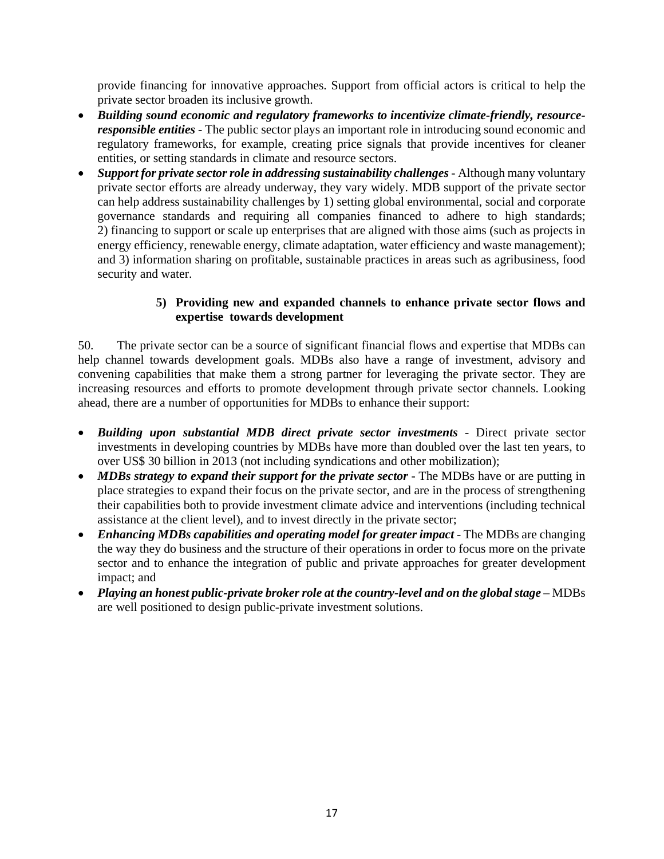provide financing for innovative approaches. Support from official actors is critical to help the private sector broaden its inclusive growth.

- *Building sound economic and regulatory frameworks to incentivize climate-friendly, resourceresponsible entities -* The public sector plays an important role in introducing sound economic and regulatory frameworks, for example, creating price signals that provide incentives for cleaner entities, or setting standards in climate and resource sectors.
- *Support for private sector role in addressing sustainability challenges -* Although many voluntary private sector efforts are already underway, they vary widely. MDB support of the private sector can help address sustainability challenges by 1) setting global environmental, social and corporate governance standards and requiring all companies financed to adhere to high standards; 2) financing to support or scale up enterprises that are aligned with those aims (such as projects in energy efficiency, renewable energy, climate adaptation, water efficiency and waste management); and 3) information sharing on profitable, sustainable practices in areas such as agribusiness, food security and water.

#### **5) Providing new and expanded channels to enhance private sector flows and expertise towards development**

50. The private sector can be a source of significant financial flows and expertise that MDBs can help channel towards development goals. MDBs also have a range of investment, advisory and convening capabilities that make them a strong partner for leveraging the private sector. They are increasing resources and efforts to promote development through private sector channels. Looking ahead, there are a number of opportunities for MDBs to enhance their support:

- *Building upon substantial MDB direct private sector investments -* Direct private sector investments in developing countries by MDBs have more than doubled over the last ten years, to over US\$ 30 billion in 2013 (not including syndications and other mobilization);
- MDBs strategy to expand their support for the private sector The MDBs have or are putting in place strategies to expand their focus on the private sector, and are in the process of strengthening their capabilities both to provide investment climate advice and interventions (including technical assistance at the client level), and to invest directly in the private sector;
- *Enhancing MDBs capabilities and operating model for greater impact* The MDBs are changing the way they do business and the structure of their operations in order to focus more on the private sector and to enhance the integration of public and private approaches for greater development impact; and
- *Playing an honest public-private broker role at the country-level and on the global stage MDBs* are well positioned to design public-private investment solutions.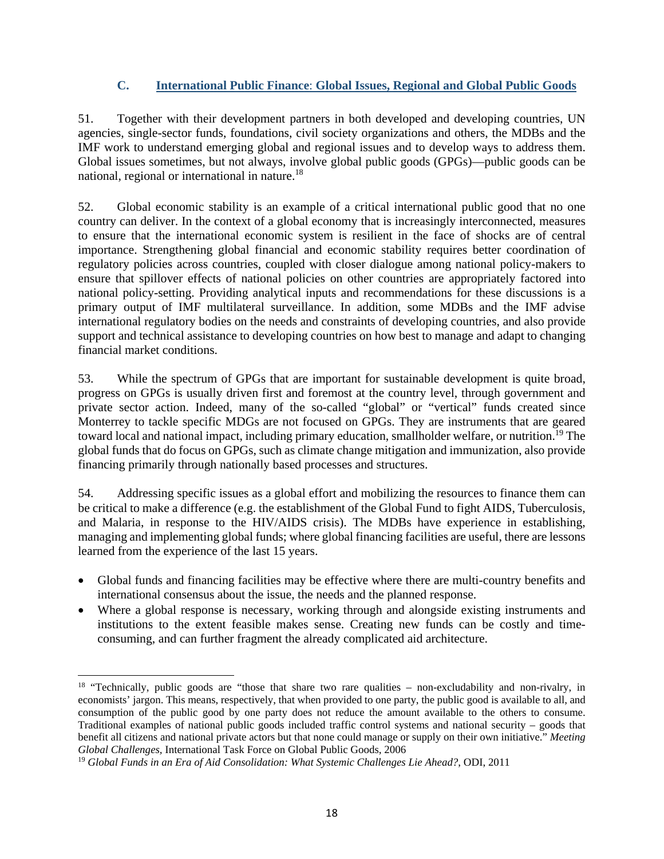### **C. International Public Finance**: **Global Issues, Regional and Global Public Goods**

51. Together with their development partners in both developed and developing countries, UN agencies, single-sector funds, foundations, civil society organizations and others, the MDBs and the IMF work to understand emerging global and regional issues and to develop ways to address them. Global issues sometimes, but not always, involve global public goods (GPGs)—public goods can be national, regional or international in nature.18

52. Global economic stability is an example of a critical international public good that no one country can deliver. In the context of a global economy that is increasingly interconnected, measures to ensure that the international economic system is resilient in the face of shocks are of central importance. Strengthening global financial and economic stability requires better coordination of regulatory policies across countries, coupled with closer dialogue among national policy-makers to ensure that spillover effects of national policies on other countries are appropriately factored into national policy-setting. Providing analytical inputs and recommendations for these discussions is a primary output of IMF multilateral surveillance. In addition, some MDBs and the IMF advise international regulatory bodies on the needs and constraints of developing countries, and also provide support and technical assistance to developing countries on how best to manage and adapt to changing financial market conditions.

53. While the spectrum of GPGs that are important for sustainable development is quite broad, progress on GPGs is usually driven first and foremost at the country level, through government and private sector action. Indeed, many of the so-called "global" or "vertical" funds created since Monterrey to tackle specific MDGs are not focused on GPGs. They are instruments that are geared toward local and national impact, including primary education, smallholder welfare, or nutrition.<sup>19</sup> The global funds that do focus on GPGs, such as climate change mitigation and immunization, also provide financing primarily through nationally based processes and structures.

54. Addressing specific issues as a global effort and mobilizing the resources to finance them can be critical to make a difference (e.g. the establishment of the Global Fund to fight AIDS, Tuberculosis, and Malaria, in response to the HIV/AIDS crisis). The MDBs have experience in establishing, managing and implementing global funds; where global financing facilities are useful, there are lessons learned from the experience of the last 15 years.

- Global funds and financing facilities may be effective where there are multi-country benefits and international consensus about the issue, the needs and the planned response.
- Where a global response is necessary, working through and alongside existing instruments and institutions to the extent feasible makes sense. Creating new funds can be costly and timeconsuming, and can further fragment the already complicated aid architecture.

<sup>&</sup>lt;sup>18</sup> "Technically, public goods are "those that share two rare qualities – non-excludability and non-rivalry, in economists' jargon. This means, respectively, that when provided to one party, the public good is available to all, and consumption of the public good by one party does not reduce the amount available to the others to consume. Traditional examples of national public goods included traffic control systems and national security – goods that benefit all citizens and national private actors but that none could manage or supply on their own initiative." *Meeting Global Challenges,* International Task Force on Global Public Goods, 2006

<sup>19</sup> *Global Funds in an Era of Aid Consolidation: What Systemic Challenges Lie Ahead?*, ODI, 2011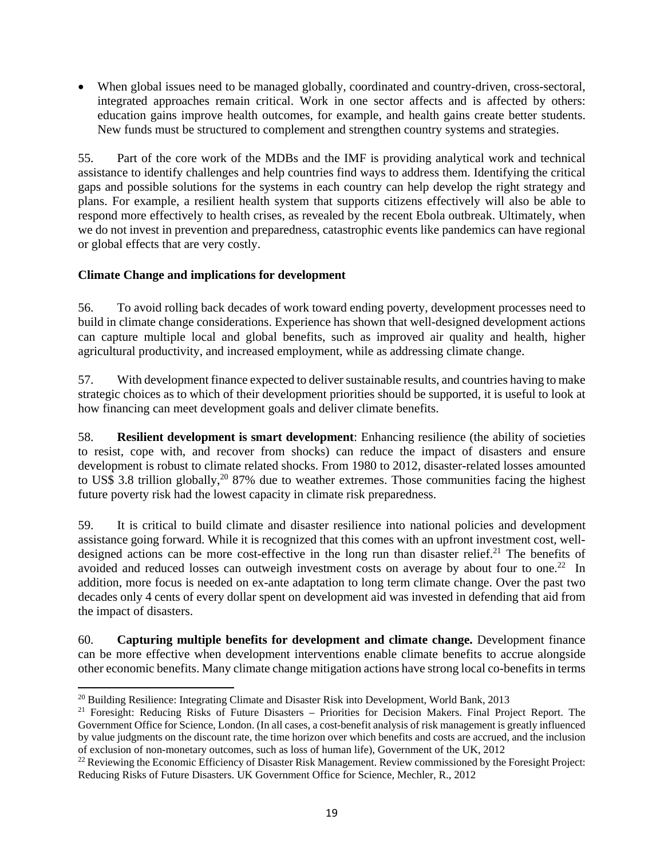When global issues need to be managed globally, coordinated and country-driven, cross-sectoral, integrated approaches remain critical. Work in one sector affects and is affected by others: education gains improve health outcomes, for example, and health gains create better students. New funds must be structured to complement and strengthen country systems and strategies.

55. Part of the core work of the MDBs and the IMF is providing analytical work and technical assistance to identify challenges and help countries find ways to address them. Identifying the critical gaps and possible solutions for the systems in each country can help develop the right strategy and plans. For example, a resilient health system that supports citizens effectively will also be able to respond more effectively to health crises, as revealed by the recent Ebola outbreak. Ultimately, when we do not invest in prevention and preparedness, catastrophic events like pandemics can have regional or global effects that are very costly.

#### **Climate Change and implications for development**

56. To avoid rolling back decades of work toward ending poverty, development processes need to build in climate change considerations. Experience has shown that well-designed development actions can capture multiple local and global benefits, such as improved air quality and health, higher agricultural productivity, and increased employment, while as addressing climate change.

57. With development finance expected to deliver sustainable results, and countries having to make strategic choices as to which of their development priorities should be supported, it is useful to look at how financing can meet development goals and deliver climate benefits.

58. **Resilient development is smart development**: Enhancing resilience (the ability of societies to resist, cope with, and recover from shocks) can reduce the impact of disasters and ensure development is robust to climate related shocks. From 1980 to 2012, disaster-related losses amounted to US\$ 3.8 trillion globally,<sup>20</sup> 87% due to weather extremes. Those communities facing the highest future poverty risk had the lowest capacity in climate risk preparedness.

59. It is critical to build climate and disaster resilience into national policies and development assistance going forward. While it is recognized that this comes with an upfront investment cost, welldesigned actions can be more cost-effective in the long run than disaster relief.<sup>21</sup> The benefits of avoided and reduced losses can outweigh investment costs on average by about four to one.<sup>22</sup> In addition, more focus is needed on ex-ante adaptation to long term climate change. Over the past two decades only 4 cents of every dollar spent on development aid was invested in defending that aid from the impact of disasters.

60. **Capturing multiple benefits for development and climate change.** Development finance can be more effective when development interventions enable climate benefits to accrue alongside other economic benefits. Many climate change mitigation actions have strong local co-benefits in terms

 <sup>20</sup> Building Resilience: Integrating Climate and Disaster Risk into Development, World Bank, 2013

<sup>&</sup>lt;sup>21</sup> Foresight: Reducing Risks of Future Disasters – Priorities for Decision Makers. Final Project Report. The Government Office for Science, London. (In all cases, a cost-benefit analysis of risk management is greatly influenced by value judgments on the discount rate, the time horizon over which benefits and costs are accrued, and the inclusion of exclusion of non-monetary outcomes, such as loss of human life), Government of the UK, 2012

<sup>&</sup>lt;sup>22</sup> Reviewing the Economic Efficiency of Disaster Risk Management. Review commissioned by the Foresight Project: Reducing Risks of Future Disasters. UK Government Office for Science, Mechler, R., 2012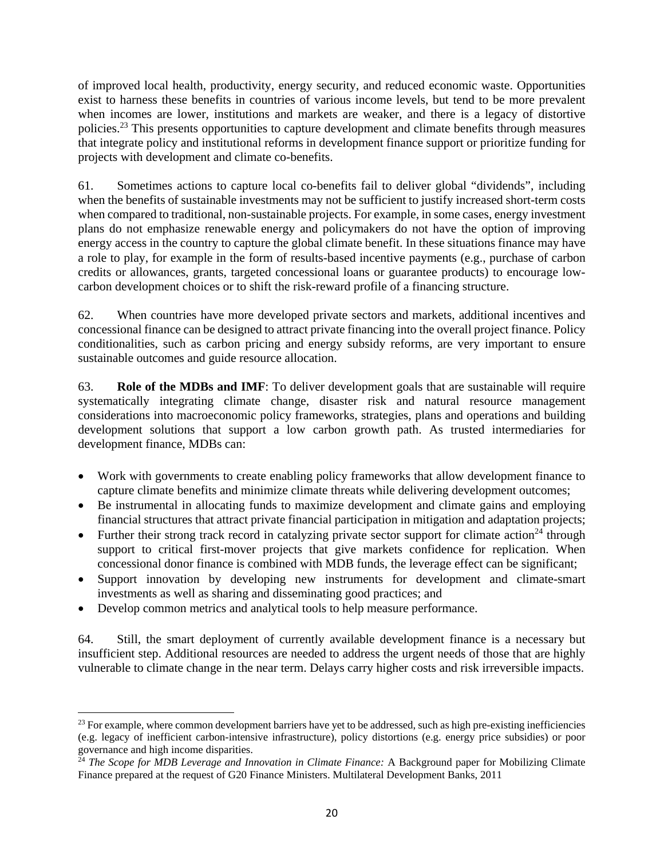of improved local health, productivity, energy security, and reduced economic waste. Opportunities exist to harness these benefits in countries of various income levels, but tend to be more prevalent when incomes are lower, institutions and markets are weaker, and there is a legacy of distortive policies.23 This presents opportunities to capture development and climate benefits through measures that integrate policy and institutional reforms in development finance support or prioritize funding for projects with development and climate co-benefits.

61. Sometimes actions to capture local co-benefits fail to deliver global "dividends", including when the benefits of sustainable investments may not be sufficient to justify increased short-term costs when compared to traditional, non-sustainable projects. For example, in some cases, energy investment plans do not emphasize renewable energy and policymakers do not have the option of improving energy access in the country to capture the global climate benefit. In these situations finance may have a role to play, for example in the form of results-based incentive payments (e.g., purchase of carbon credits or allowances, grants, targeted concessional loans or guarantee products) to encourage lowcarbon development choices or to shift the risk-reward profile of a financing structure.

62. When countries have more developed private sectors and markets, additional incentives and concessional finance can be designed to attract private financing into the overall project finance. Policy conditionalities, such as carbon pricing and energy subsidy reforms, are very important to ensure sustainable outcomes and guide resource allocation.

63. **Role of the MDBs and IMF**: To deliver development goals that are sustainable will require systematically integrating climate change, disaster risk and natural resource management considerations into macroeconomic policy frameworks, strategies, plans and operations and building development solutions that support a low carbon growth path. As trusted intermediaries for development finance, MDBs can:

- Work with governments to create enabling policy frameworks that allow development finance to capture climate benefits and minimize climate threats while delivering development outcomes;
- Be instrumental in allocating funds to maximize development and climate gains and employing financial structures that attract private financial participation in mitigation and adaptation projects;
- Further their strong track record in catalyzing private sector support for climate action<sup>24</sup> through support to critical first-mover projects that give markets confidence for replication. When concessional donor finance is combined with MDB funds, the leverage effect can be significant;
- Support innovation by developing new instruments for development and climate-smart investments as well as sharing and disseminating good practices; and
- Develop common metrics and analytical tools to help measure performance.

64. Still, the smart deployment of currently available development finance is a necessary but insufficient step. Additional resources are needed to address the urgent needs of those that are highly vulnerable to climate change in the near term. Delays carry higher costs and risk irreversible impacts.

 $23$  For example, where common development barriers have yet to be addressed, such as high pre-existing inefficiencies (e.g. legacy of inefficient carbon-intensive infrastructure), policy distortions (e.g. energy price subsidies) or poor governance and high income disparities.

<sup>24</sup> *The Scope for MDB Leverage and Innovation in Climate Finance:* A Background paper for Mobilizing Climate Finance prepared at the request of G20 Finance Ministers. Multilateral Development Banks, 2011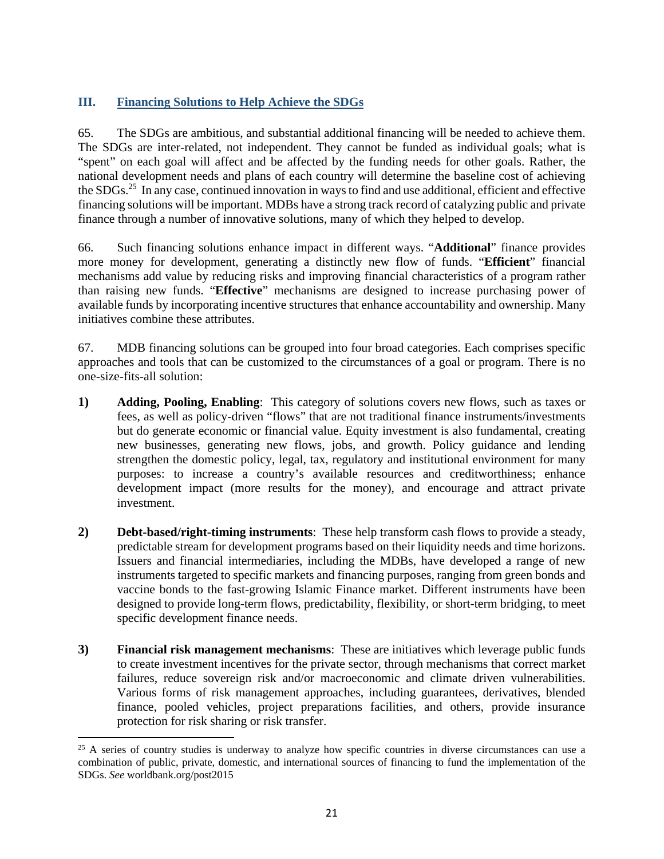## **III. Financing Solutions to Help Achieve the SDGs**

65. The SDGs are ambitious, and substantial additional financing will be needed to achieve them. The SDGs are inter-related, not independent. They cannot be funded as individual goals; what is "spent" on each goal will affect and be affected by the funding needs for other goals. Rather, the national development needs and plans of each country will determine the baseline cost of achieving the SDGs.25 In any case, continued innovation in ways to find and use additional, efficient and effective financing solutions will be important. MDBs have a strong track record of catalyzing public and private finance through a number of innovative solutions, many of which they helped to develop.

66. Such financing solutions enhance impact in different ways. "**Additional**" finance provides more money for development, generating a distinctly new flow of funds. "**Efficient**" financial mechanisms add value by reducing risks and improving financial characteristics of a program rather than raising new funds. "**Effective**" mechanisms are designed to increase purchasing power of available funds by incorporating incentive structures that enhance accountability and ownership. Many initiatives combine these attributes.

67. MDB financing solutions can be grouped into four broad categories. Each comprises specific approaches and tools that can be customized to the circumstances of a goal or program. There is no one-size-fits-all solution:

- **1) Adding, Pooling, Enabling**: This category of solutions covers new flows, such as taxes or fees, as well as policy-driven "flows" that are not traditional finance instruments/investments but do generate economic or financial value. Equity investment is also fundamental, creating new businesses, generating new flows, jobs, and growth. Policy guidance and lending strengthen the domestic policy, legal, tax, regulatory and institutional environment for many purposes: to increase a country's available resources and creditworthiness; enhance development impact (more results for the money), and encourage and attract private investment.
- **2) Debt-based/right-timing instruments**: These help transform cash flows to provide a steady, predictable stream for development programs based on their liquidity needs and time horizons. Issuers and financial intermediaries, including the MDBs, have developed a range of new instruments targeted to specific markets and financing purposes, ranging from green bonds and vaccine bonds to the fast-growing Islamic Finance market. Different instruments have been designed to provide long-term flows, predictability, flexibility, or short-term bridging, to meet specific development finance needs.
- **3) Financial risk management mechanisms**: These are initiatives which leverage public funds to create investment incentives for the private sector, through mechanisms that correct market failures, reduce sovereign risk and/or macroeconomic and climate driven vulnerabilities. Various forms of risk management approaches, including guarantees, derivatives, blended finance, pooled vehicles, project preparations facilities, and others, provide insurance protection for risk sharing or risk transfer.

<sup>&</sup>lt;sup>25</sup> A series of country studies is underway to analyze how specific countries in diverse circumstances can use a combination of public, private, domestic, and international sources of financing to fund the implementation of the SDGs. *See* worldbank.org/post2015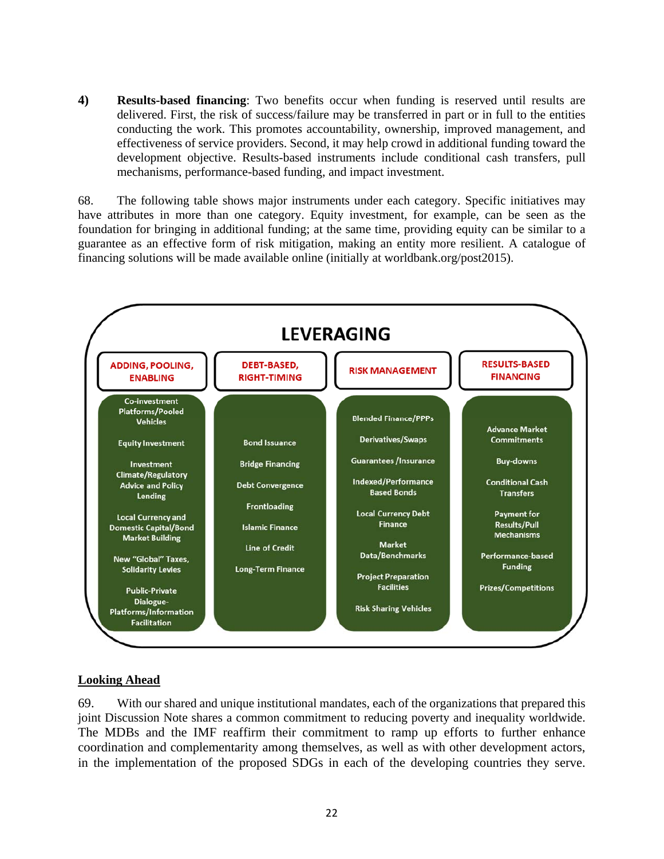**4) Results-based financing**: Two benefits occur when funding is reserved until results are delivered. First, the risk of success/failure may be transferred in part or in full to the entities conducting the work. This promotes accountability, ownership, improved management, and effectiveness of service providers. Second, it may help crowd in additional funding toward the development objective. Results-based instruments include conditional cash transfers, pull mechanisms, performance-based funding, and impact investment.

68. The following table shows major instruments under each category. Specific initiatives may have attributes in more than one category. Equity investment, for example, can be seen as the foundation for bringing in additional funding; at the same time, providing equity can be similar to a guarantee as an effective form of risk mitigation, making an entity more resilient. A catalogue of financing solutions will be made available online (initially at worldbank.org/post2015).



## **Looking Ahead**

69. With our shared and unique institutional mandates, each of the organizations that prepared this joint Discussion Note shares a common commitment to reducing poverty and inequality worldwide. The MDBs and the IMF reaffirm their commitment to ramp up efforts to further enhance coordination and complementarity among themselves, as well as with other development actors, in the implementation of the proposed SDGs in each of the developing countries they serve.